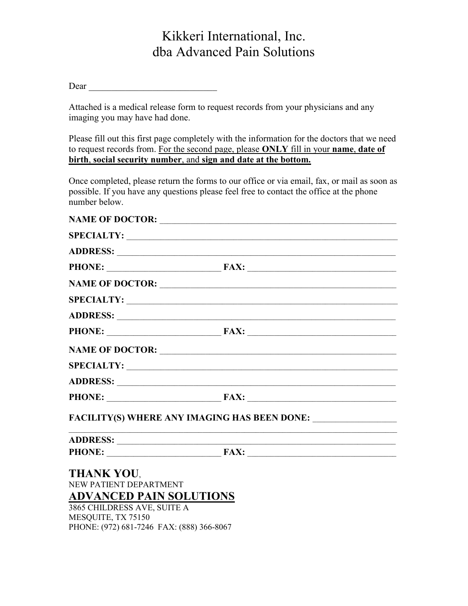## Kikkeri International, Inc. dba Advanced Pain Solutions

Dear \_\_\_\_\_\_\_\_\_\_\_\_\_\_\_\_\_\_\_\_\_\_\_\_\_\_\_\_

Attached is a medical release form to request records from your physicians and any imaging you may have had done.

Please fill out this first page completely with the information for the doctors that we need to request records from. For the second page, please ONLY fill in your name, date of birth, social security number, and sign and date at the bottom.

Once completed, please return the forms to our office or via email, fax, or mail as soon as possible. If you have any questions please feel free to contact the office at the phone number below.

|                                           | SPECIALTY:                                                  |
|-------------------------------------------|-------------------------------------------------------------|
|                                           |                                                             |
|                                           | PHONE: FAX: FAX:                                            |
|                                           | NAME OF DOCTOR:                                             |
|                                           | SPECIALTY:                                                  |
|                                           |                                                             |
|                                           |                                                             |
|                                           | NAME OF DOCTOR:                                             |
|                                           | SPECIALTY:                                                  |
|                                           |                                                             |
|                                           |                                                             |
|                                           |                                                             |
|                                           | <u> 1989 - Johann Stoff, amerikansk politiker (d. 1989)</u> |
|                                           |                                                             |
| <b>THANK YOU,</b>                         |                                                             |
| NEW PATIENT DEPARTMENT                    |                                                             |
| <b>ADVANCED PAIN SOLUTIONS</b>            |                                                             |
| 3865 CHILDRESS AVE, SUITE A               |                                                             |
| MESQUITE, TX 75150                        |                                                             |
| PHONE: (972) 681-7246 FAX: (888) 366-8067 |                                                             |